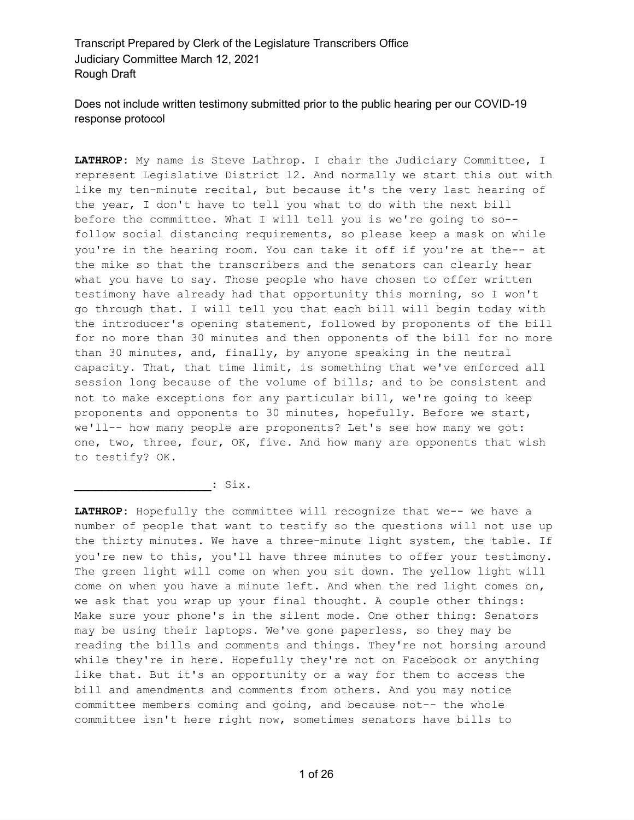Does not include written testimony submitted prior to the public hearing per our COVID-19 response protocol

**LATHROP:** My name is Steve Lathrop. I chair the Judiciary Committee, I represent Legislative District 12. And normally we start this out with like my ten-minute recital, but because it's the very last hearing of the year, I don't have to tell you what to do with the next bill before the committee. What I will tell you is we're going to so- follow social distancing requirements, so please keep a mask on while you're in the hearing room. You can take it off if you're at the-- at the mike so that the transcribers and the senators can clearly hear what you have to say. Those people who have chosen to offer written testimony have already had that opportunity this morning, so I won't go through that. I will tell you that each bill will begin today with the introducer's opening statement, followed by proponents of the bill for no more than 30 minutes and then opponents of the bill for no more than 30 minutes, and, finally, by anyone speaking in the neutral capacity. That, that time limit, is something that we've enforced all session long because of the volume of bills; and to be consistent and not to make exceptions for any particular bill, we're going to keep proponents and opponents to 30 minutes, hopefully. Before we start, we'll-- how many people are proponents? Let's see how many we got: one, two, three, four, OK, five. And how many are opponents that wish to testify? OK.

**\_\_\_\_\_\_\_\_\_\_\_\_\_\_\_\_\_\_\_\_:** Six.

**LATHROP:** Hopefully the committee will recognize that we-- we have a number of people that want to testify so the questions will not use up the thirty minutes. We have a three-minute light system, the table. If you're new to this, you'll have three minutes to offer your testimony. The green light will come on when you sit down. The yellow light will come on when you have a minute left. And when the red light comes on, we ask that you wrap up your final thought. A couple other things: Make sure your phone's in the silent mode. One other thing: Senators may be using their laptops. We've gone paperless, so they may be reading the bills and comments and things. They're not horsing around while they're in here. Hopefully they're not on Facebook or anything like that. But it's an opportunity or a way for them to access the bill and amendments and comments from others. And you may notice committee members coming and going, and because not-- the whole committee isn't here right now, sometimes senators have bills to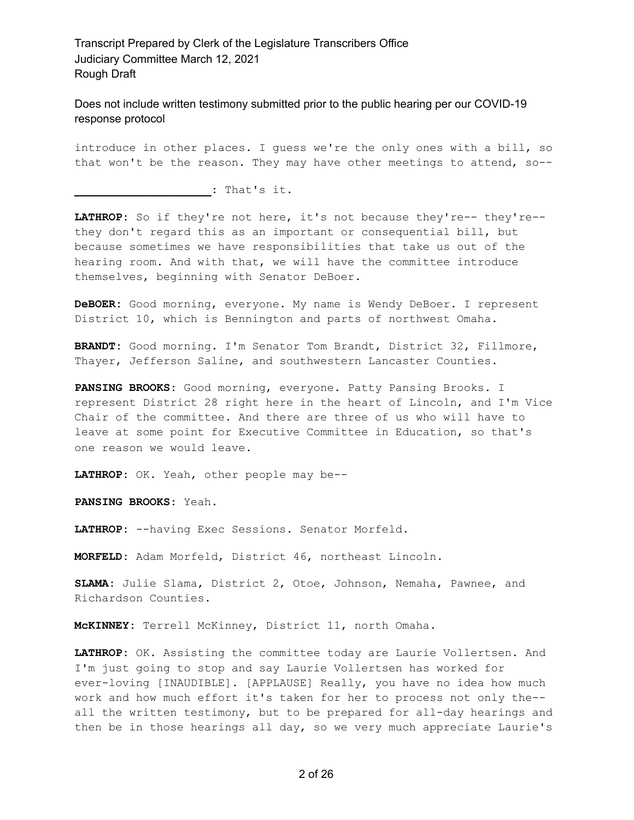Does not include written testimony submitted prior to the public hearing per our COVID-19 response protocol

introduce in other places. I guess we're the only ones with a bill, so that won't be the reason. They may have other meetings to attend, so--

**\_\_\_\_\_\_\_\_\_\_\_\_\_\_\_\_\_\_\_\_:** That's it.

**LATHROP:** So if they're not here, it's not because they're-- they're- they don't regard this as an important or consequential bill, but because sometimes we have responsibilities that take us out of the hearing room. And with that, we will have the committee introduce themselves, beginning with Senator DeBoer.

**DeBOER:** Good morning, everyone. My name is Wendy DeBoer. I represent District 10, which is Bennington and parts of northwest Omaha.

**BRANDT:** Good morning. I'm Senator Tom Brandt, District 32, Fillmore, Thayer, Jefferson Saline, and southwestern Lancaster Counties.

**PANSING BROOKS:** Good morning, everyone. Patty Pansing Brooks. I represent District 28 right here in the heart of Lincoln, and I'm Vice Chair of the committee. And there are three of us who will have to leave at some point for Executive Committee in Education, so that's one reason we would leave.

**LATHROP:** OK. Yeah, other people may be--

**PANSING BROOKS:** Yeah.

**LATHROP:** --having Exec Sessions. Senator Morfeld.

**MORFELD:** Adam Morfeld, District 46, northeast Lincoln.

**SLAMA:** Julie Slama, District 2, Otoe, Johnson, Nemaha, Pawnee, and Richardson Counties.

**McKINNEY:** Terrell McKinney, District 11, north Omaha.

**LATHROP:** OK. Assisting the committee today are Laurie Vollertsen. And I'm just going to stop and say Laurie Vollertsen has worked for ever-loving [INAUDIBLE]. [APPLAUSE] Really, you have no idea how much work and how much effort it's taken for her to process not only the- all the written testimony, but to be prepared for all-day hearings and then be in those hearings all day, so we very much appreciate Laurie's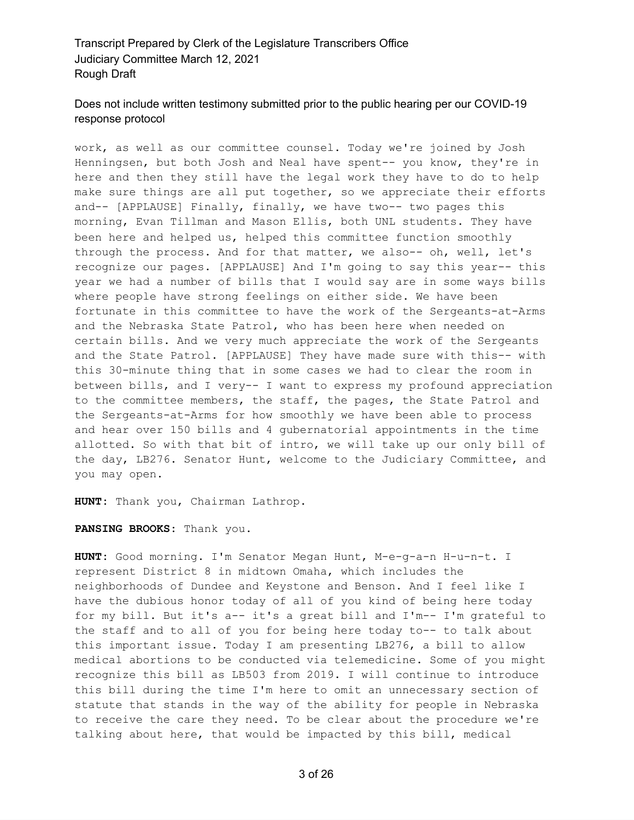# Does not include written testimony submitted prior to the public hearing per our COVID-19 response protocol

work, as well as our committee counsel. Today we're joined by Josh Henningsen, but both Josh and Neal have spent-- you know, they're in here and then they still have the legal work they have to do to help make sure things are all put together, so we appreciate their efforts and-- [APPLAUSE] Finally, finally, we have two-- two pages this morning, Evan Tillman and Mason Ellis, both UNL students. They have been here and helped us, helped this committee function smoothly through the process. And for that matter, we also-- oh, well, let's recognize our pages. [APPLAUSE] And I'm going to say this year-- this year we had a number of bills that I would say are in some ways bills where people have strong feelings on either side. We have been fortunate in this committee to have the work of the Sergeants-at-Arms and the Nebraska State Patrol, who has been here when needed on certain bills. And we very much appreciate the work of the Sergeants and the State Patrol. [APPLAUSE] They have made sure with this-- with this 30-minute thing that in some cases we had to clear the room in between bills, and I very-- I want to express my profound appreciation to the committee members, the staff, the pages, the State Patrol and the Sergeants-at-Arms for how smoothly we have been able to process and hear over 150 bills and 4 gubernatorial appointments in the time allotted. So with that bit of intro, we will take up our only bill of the day, LB276. Senator Hunt, welcome to the Judiciary Committee, and you may open.

**HUNT:** Thank you, Chairman Lathrop.

**PANSING BROOKS:** Thank you.

**HUNT:** Good morning. I'm Senator Megan Hunt, M-e-g-a-n H-u-n-t. I represent District 8 in midtown Omaha, which includes the neighborhoods of Dundee and Keystone and Benson. And I feel like I have the dubious honor today of all of you kind of being here today for my bill. But it's a-- it's a great bill and I'm-- I'm grateful to the staff and to all of you for being here today to-- to talk about this important issue. Today I am presenting LB276, a bill to allow medical abortions to be conducted via telemedicine. Some of you might recognize this bill as LB503 from 2019. I will continue to introduce this bill during the time I'm here to omit an unnecessary section of statute that stands in the way of the ability for people in Nebraska to receive the care they need. To be clear about the procedure we're talking about here, that would be impacted by this bill, medical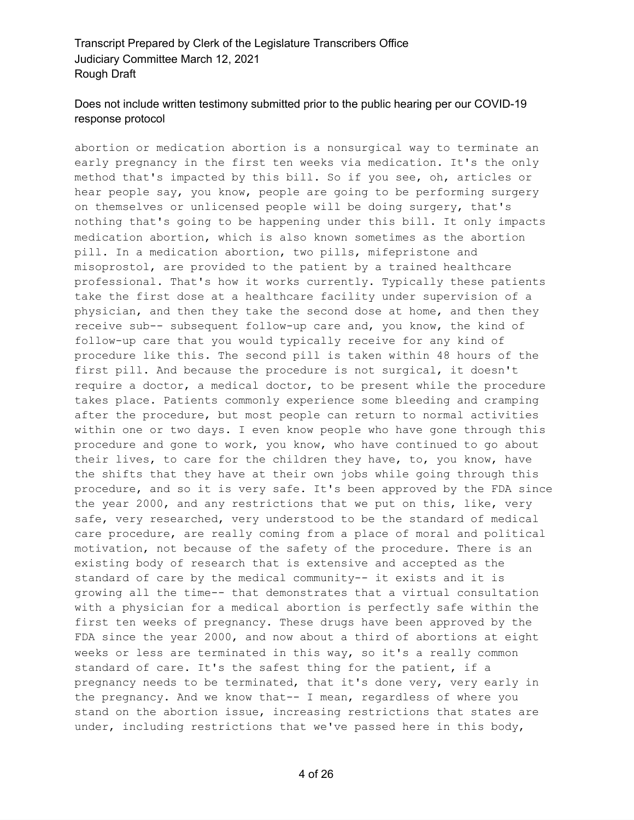# Does not include written testimony submitted prior to the public hearing per our COVID-19 response protocol

abortion or medication abortion is a nonsurgical way to terminate an early pregnancy in the first ten weeks via medication. It's the only method that's impacted by this bill. So if you see, oh, articles or hear people say, you know, people are going to be performing surgery on themselves or unlicensed people will be doing surgery, that's nothing that's going to be happening under this bill. It only impacts medication abortion, which is also known sometimes as the abortion pill. In a medication abortion, two pills, mifepristone and misoprostol, are provided to the patient by a trained healthcare professional. That's how it works currently. Typically these patients take the first dose at a healthcare facility under supervision of a physician, and then they take the second dose at home, and then they receive sub-- subsequent follow-up care and, you know, the kind of follow-up care that you would typically receive for any kind of procedure like this. The second pill is taken within 48 hours of the first pill. And because the procedure is not surgical, it doesn't require a doctor, a medical doctor, to be present while the procedure takes place. Patients commonly experience some bleeding and cramping after the procedure, but most people can return to normal activities within one or two days. I even know people who have gone through this procedure and gone to work, you know, who have continued to go about their lives, to care for the children they have, to, you know, have the shifts that they have at their own jobs while going through this procedure, and so it is very safe. It's been approved by the FDA since the year 2000, and any restrictions that we put on this, like, very safe, very researched, very understood to be the standard of medical care procedure, are really coming from a place of moral and political motivation, not because of the safety of the procedure. There is an existing body of research that is extensive and accepted as the standard of care by the medical community-- it exists and it is growing all the time-- that demonstrates that a virtual consultation with a physician for a medical abortion is perfectly safe within the first ten weeks of pregnancy. These drugs have been approved by the FDA since the year 2000, and now about a third of abortions at eight weeks or less are terminated in this way, so it's a really common standard of care. It's the safest thing for the patient, if a pregnancy needs to be terminated, that it's done very, very early in the pregnancy. And we know that-- I mean, regardless of where you stand on the abortion issue, increasing restrictions that states are under, including restrictions that we've passed here in this body,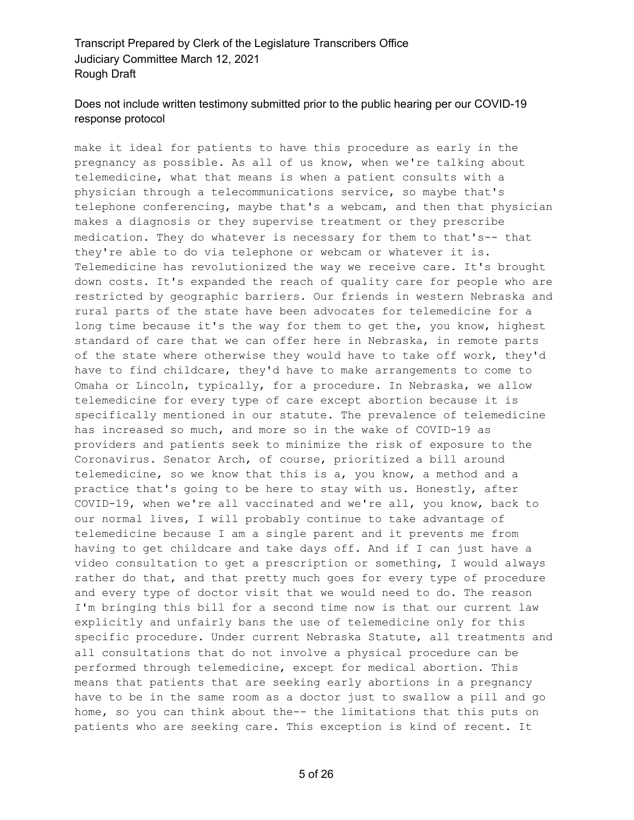# Does not include written testimony submitted prior to the public hearing per our COVID-19 response protocol

make it ideal for patients to have this procedure as early in the pregnancy as possible. As all of us know, when we're talking about telemedicine, what that means is when a patient consults with a physician through a telecommunications service, so maybe that's telephone conferencing, maybe that's a webcam, and then that physician makes a diagnosis or they supervise treatment or they prescribe medication. They do whatever is necessary for them to that's-- that they're able to do via telephone or webcam or whatever it is. Telemedicine has revolutionized the way we receive care. It's brought down costs. It's expanded the reach of quality care for people who are restricted by geographic barriers. Our friends in western Nebraska and rural parts of the state have been advocates for telemedicine for a long time because it's the way for them to get the, you know, highest standard of care that we can offer here in Nebraska, in remote parts of the state where otherwise they would have to take off work, they'd have to find childcare, they'd have to make arrangements to come to Omaha or Lincoln, typically, for a procedure. In Nebraska, we allow telemedicine for every type of care except abortion because it is specifically mentioned in our statute. The prevalence of telemedicine has increased so much, and more so in the wake of COVID-19 as providers and patients seek to minimize the risk of exposure to the Coronavirus. Senator Arch, of course, prioritized a bill around telemedicine, so we know that this is a, you know, a method and a practice that's going to be here to stay with us. Honestly, after COVID-19, when we're all vaccinated and we're all, you know, back to our normal lives, I will probably continue to take advantage of telemedicine because I am a single parent and it prevents me from having to get childcare and take days off. And if I can just have a video consultation to get a prescription or something, I would always rather do that, and that pretty much goes for every type of procedure and every type of doctor visit that we would need to do. The reason I'm bringing this bill for a second time now is that our current law explicitly and unfairly bans the use of telemedicine only for this specific procedure. Under current Nebraska Statute, all treatments and all consultations that do not involve a physical procedure can be performed through telemedicine, except for medical abortion. This means that patients that are seeking early abortions in a pregnancy have to be in the same room as a doctor just to swallow a pill and go home, so you can think about the-- the limitations that this puts on patients who are seeking care. This exception is kind of recent. It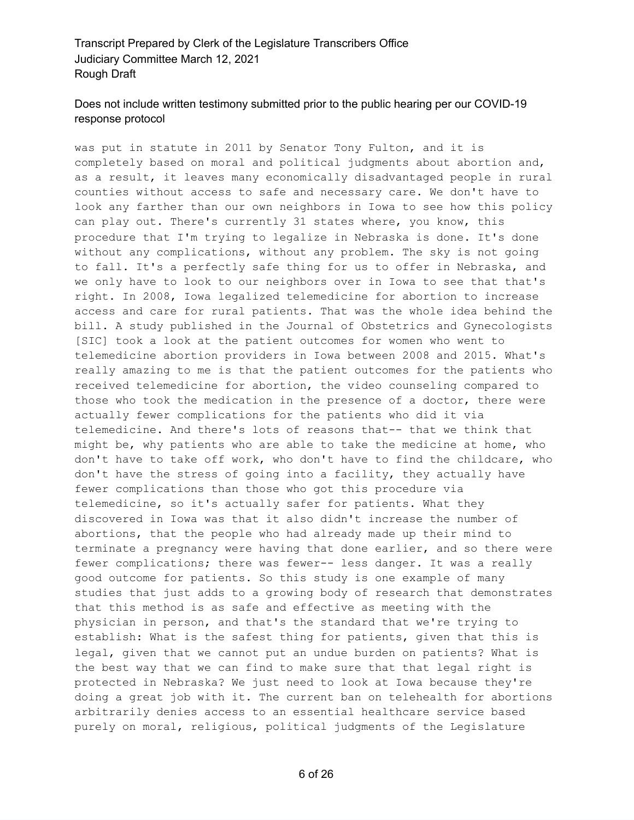# Does not include written testimony submitted prior to the public hearing per our COVID-19 response protocol

was put in statute in 2011 by Senator Tony Fulton, and it is completely based on moral and political judgments about abortion and, as a result, it leaves many economically disadvantaged people in rural counties without access to safe and necessary care. We don't have to look any farther than our own neighbors in Iowa to see how this policy can play out. There's currently 31 states where, you know, this procedure that I'm trying to legalize in Nebraska is done. It's done without any complications, without any problem. The sky is not going to fall. It's a perfectly safe thing for us to offer in Nebraska, and we only have to look to our neighbors over in Iowa to see that that's right. In 2008, Iowa legalized telemedicine for abortion to increase access and care for rural patients. That was the whole idea behind the bill. A study published in the Journal of Obstetrics and Gynecologists [SIC] took a look at the patient outcomes for women who went to telemedicine abortion providers in Iowa between 2008 and 2015. What's really amazing to me is that the patient outcomes for the patients who received telemedicine for abortion, the video counseling compared to those who took the medication in the presence of a doctor, there were actually fewer complications for the patients who did it via telemedicine. And there's lots of reasons that-- that we think that might be, why patients who are able to take the medicine at home, who don't have to take off work, who don't have to find the childcare, who don't have the stress of going into a facility, they actually have fewer complications than those who got this procedure via telemedicine, so it's actually safer for patients. What they discovered in Iowa was that it also didn't increase the number of abortions, that the people who had already made up their mind to terminate a pregnancy were having that done earlier, and so there were fewer complications; there was fewer-- less danger. It was a really good outcome for patients. So this study is one example of many studies that just adds to a growing body of research that demonstrates that this method is as safe and effective as meeting with the physician in person, and that's the standard that we're trying to establish: What is the safest thing for patients, given that this is legal, given that we cannot put an undue burden on patients? What is the best way that we can find to make sure that that legal right is protected in Nebraska? We just need to look at Iowa because they're doing a great job with it. The current ban on telehealth for abortions arbitrarily denies access to an essential healthcare service based purely on moral, religious, political judgments of the Legislature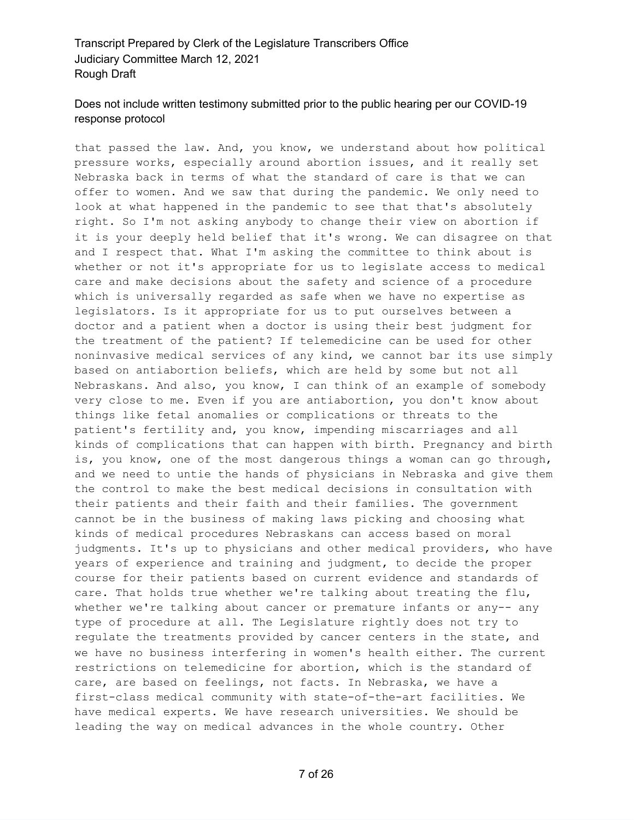# Does not include written testimony submitted prior to the public hearing per our COVID-19 response protocol

that passed the law. And, you know, we understand about how political pressure works, especially around abortion issues, and it really set Nebraska back in terms of what the standard of care is that we can offer to women. And we saw that during the pandemic. We only need to look at what happened in the pandemic to see that that's absolutely right. So I'm not asking anybody to change their view on abortion if it is your deeply held belief that it's wrong. We can disagree on that and I respect that. What I'm asking the committee to think about is whether or not it's appropriate for us to legislate access to medical care and make decisions about the safety and science of a procedure which is universally regarded as safe when we have no expertise as legislators. Is it appropriate for us to put ourselves between a doctor and a patient when a doctor is using their best judgment for the treatment of the patient? If telemedicine can be used for other noninvasive medical services of any kind, we cannot bar its use simply based on antiabortion beliefs, which are held by some but not all Nebraskans. And also, you know, I can think of an example of somebody very close to me. Even if you are antiabortion, you don't know about things like fetal anomalies or complications or threats to the patient's fertility and, you know, impending miscarriages and all kinds of complications that can happen with birth. Pregnancy and birth is, you know, one of the most dangerous things a woman can go through, and we need to untie the hands of physicians in Nebraska and give them the control to make the best medical decisions in consultation with their patients and their faith and their families. The government cannot be in the business of making laws picking and choosing what kinds of medical procedures Nebraskans can access based on moral judgments. It's up to physicians and other medical providers, who have years of experience and training and judgment, to decide the proper course for their patients based on current evidence and standards of care. That holds true whether we're talking about treating the flu, whether we're talking about cancer or premature infants or any-- any type of procedure at all. The Legislature rightly does not try to regulate the treatments provided by cancer centers in the state, and we have no business interfering in women's health either. The current restrictions on telemedicine for abortion, which is the standard of care, are based on feelings, not facts. In Nebraska, we have a first-class medical community with state-of-the-art facilities. We have medical experts. We have research universities. We should be leading the way on medical advances in the whole country. Other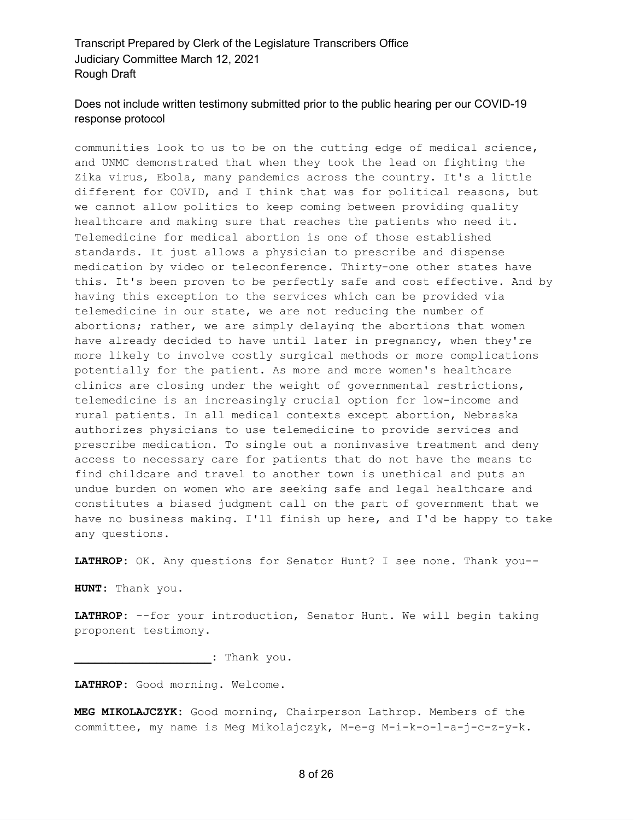# Does not include written testimony submitted prior to the public hearing per our COVID-19 response protocol

communities look to us to be on the cutting edge of medical science, and UNMC demonstrated that when they took the lead on fighting the Zika virus, Ebola, many pandemics across the country. It's a little different for COVID, and I think that was for political reasons, but we cannot allow politics to keep coming between providing quality healthcare and making sure that reaches the patients who need it. Telemedicine for medical abortion is one of those established standards. It just allows a physician to prescribe and dispense medication by video or teleconference. Thirty-one other states have this. It's been proven to be perfectly safe and cost effective. And by having this exception to the services which can be provided via telemedicine in our state, we are not reducing the number of abortions; rather, we are simply delaying the abortions that women have already decided to have until later in pregnancy, when they're more likely to involve costly surgical methods or more complications potentially for the patient. As more and more women's healthcare clinics are closing under the weight of governmental restrictions, telemedicine is an increasingly crucial option for low-income and rural patients. In all medical contexts except abortion, Nebraska authorizes physicians to use telemedicine to provide services and prescribe medication. To single out a noninvasive treatment and deny access to necessary care for patients that do not have the means to find childcare and travel to another town is unethical and puts an undue burden on women who are seeking safe and legal healthcare and constitutes a biased judgment call on the part of government that we have no business making. I'll finish up here, and I'd be happy to take any questions.

**LATHROP:** OK. Any questions for Senator Hunt? I see none. Thank you--

**HUNT:** Thank you.

**LATHROP:** --for your introduction, Senator Hunt. We will begin taking proponent testimony.

**\_\_\_\_\_\_\_\_\_\_\_\_\_\_\_\_\_\_\_\_:** Thank you.

**LATHROP:** Good morning. Welcome.

**MEG MIKOLAJCZYK:** Good morning, Chairperson Lathrop. Members of the committee, my name is Meg Mikolajczyk, M-e-g M-i-k-o-l-a-j-c-z-y-k.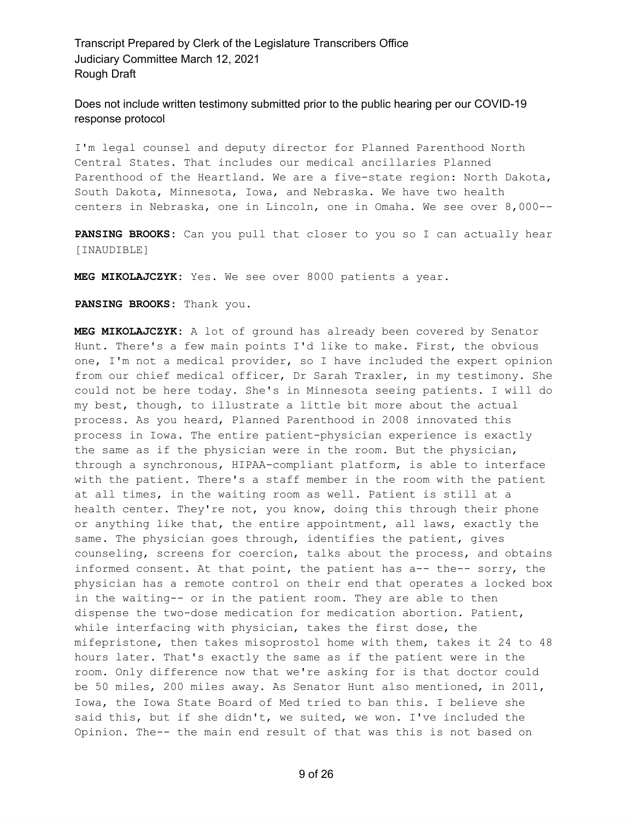Does not include written testimony submitted prior to the public hearing per our COVID-19 response protocol

I'm legal counsel and deputy director for Planned Parenthood North Central States. That includes our medical ancillaries Planned Parenthood of the Heartland. We are a five-state region: North Dakota, South Dakota, Minnesota, Iowa, and Nebraska. We have two health centers in Nebraska, one in Lincoln, one in Omaha. We see over 8,000--

**PANSING BROOKS:** Can you pull that closer to you so I can actually hear [INAUDIBLE]

**MEG MIKOLAJCZYK:** Yes. We see over 8000 patients a year.

**PANSING BROOKS:** Thank you.

**MEG MIKOLAJCZYK:** A lot of ground has already been covered by Senator Hunt. There's a few main points I'd like to make. First, the obvious one, I'm not a medical provider, so I have included the expert opinion from our chief medical officer, Dr Sarah Traxler, in my testimony. She could not be here today. She's in Minnesota seeing patients. I will do my best, though, to illustrate a little bit more about the actual process. As you heard, Planned Parenthood in 2008 innovated this process in Iowa. The entire patient-physician experience is exactly the same as if the physician were in the room. But the physician, through a synchronous, HIPAA-compliant platform, is able to interface with the patient. There's a staff member in the room with the patient at all times, in the waiting room as well. Patient is still at a health center. They're not, you know, doing this through their phone or anything like that, the entire appointment, all laws, exactly the same. The physician goes through, identifies the patient, gives counseling, screens for coercion, talks about the process, and obtains informed consent. At that point, the patient has a-- the-- sorry, the physician has a remote control on their end that operates a locked box in the waiting-- or in the patient room. They are able to then dispense the two-dose medication for medication abortion. Patient, while interfacing with physician, takes the first dose, the mifepristone, then takes misoprostol home with them, takes it 24 to 48 hours later. That's exactly the same as if the patient were in the room. Only difference now that we're asking for is that doctor could be 50 miles, 200 miles away. As Senator Hunt also mentioned, in 2011, Iowa, the Iowa State Board of Med tried to ban this. I believe she said this, but if she didn't, we suited, we won. I've included the Opinion. The-- the main end result of that was this is not based on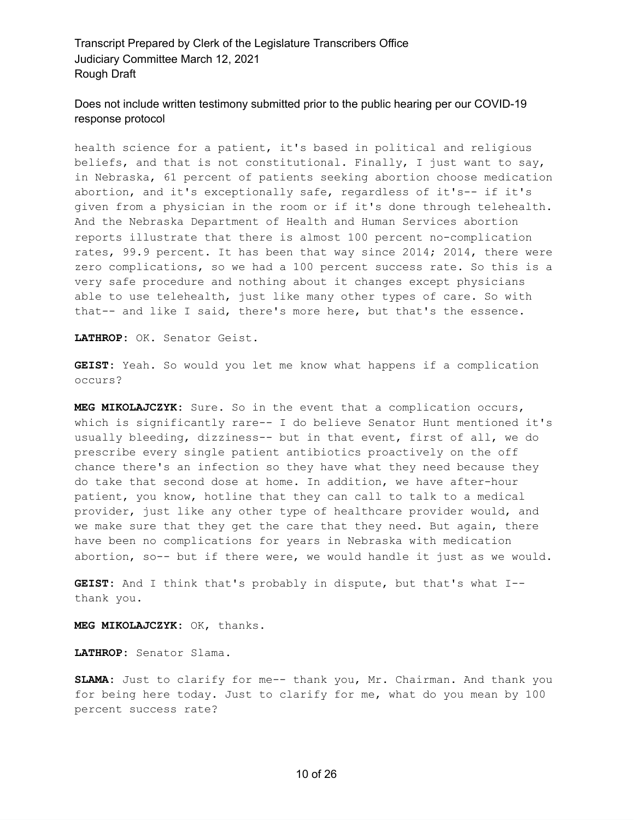Does not include written testimony submitted prior to the public hearing per our COVID-19 response protocol

health science for a patient, it's based in political and religious beliefs, and that is not constitutional. Finally, I just want to say, in Nebraska, 61 percent of patients seeking abortion choose medication abortion, and it's exceptionally safe, regardless of it's-- if it's given from a physician in the room or if it's done through telehealth. And the Nebraska Department of Health and Human Services abortion reports illustrate that there is almost 100 percent no-complication rates, 99.9 percent. It has been that way since 2014; 2014, there were zero complications, so we had a 100 percent success rate. So this is a very safe procedure and nothing about it changes except physicians able to use telehealth, just like many other types of care. So with that-- and like I said, there's more here, but that's the essence.

**LATHROP:** OK. Senator Geist.

**GEIST:** Yeah. So would you let me know what happens if a complication occurs?

**MEG MIKOLAJCZYK:** Sure. So in the event that a complication occurs, which is significantly rare-- I do believe Senator Hunt mentioned it's usually bleeding, dizziness-- but in that event, first of all, we do prescribe every single patient antibiotics proactively on the off chance there's an infection so they have what they need because they do take that second dose at home. In addition, we have after-hour patient, you know, hotline that they can call to talk to a medical provider, just like any other type of healthcare provider would, and we make sure that they get the care that they need. But again, there have been no complications for years in Nebraska with medication abortion, so-- but if there were, we would handle it just as we would.

**GEIST:** And I think that's probably in dispute, but that's what I- thank you.

**MEG MIKOLAJCZYK:** OK, thanks.

**LATHROP:** Senator Slama.

**SLAMA:** Just to clarify for me-- thank you, Mr. Chairman. And thank you for being here today. Just to clarify for me, what do you mean by 100 percent success rate?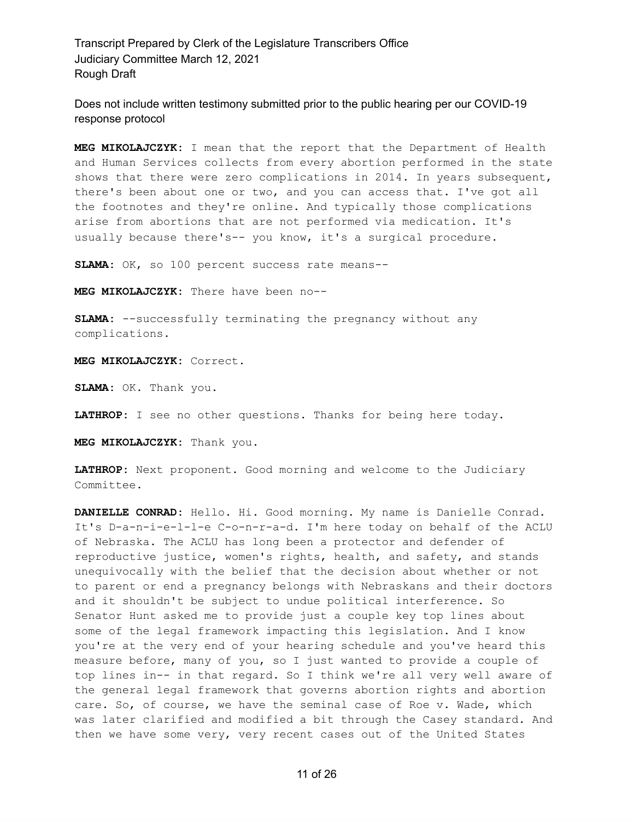Does not include written testimony submitted prior to the public hearing per our COVID-19 response protocol

**MEG MIKOLAJCZYK:** I mean that the report that the Department of Health and Human Services collects from every abortion performed in the state shows that there were zero complications in 2014. In years subsequent, there's been about one or two, and you can access that. I've got all the footnotes and they're online. And typically those complications arise from abortions that are not performed via medication. It's usually because there's-- you know, it's a surgical procedure.

**SLAMA:** OK, so 100 percent success rate means--

**MEG MIKOLAJCZYK:** There have been no--

**SLAMA:** --successfully terminating the pregnancy without any complications.

**MEG MIKOLAJCZYK:** Correct.

**SLAMA:** OK. Thank you.

**LATHROP:** I see no other questions. Thanks for being here today.

**MEG MIKOLAJCZYK:** Thank you.

**LATHROP:** Next proponent. Good morning and welcome to the Judiciary Committee.

**DANIELLE CONRAD:** Hello. Hi. Good morning. My name is Danielle Conrad. It's D-a-n-i-e-l-l-e C-o-n-r-a-d. I'm here today on behalf of the ACLU of Nebraska. The ACLU has long been a protector and defender of reproductive justice, women's rights, health, and safety, and stands unequivocally with the belief that the decision about whether or not to parent or end a pregnancy belongs with Nebraskans and their doctors and it shouldn't be subject to undue political interference. So Senator Hunt asked me to provide just a couple key top lines about some of the legal framework impacting this legislation. And I know you're at the very end of your hearing schedule and you've heard this measure before, many of you, so I just wanted to provide a couple of top lines in-- in that regard. So I think we're all very well aware of the general legal framework that governs abortion rights and abortion care. So, of course, we have the seminal case of Roe v. Wade, which was later clarified and modified a bit through the Casey standard. And then we have some very, very recent cases out of the United States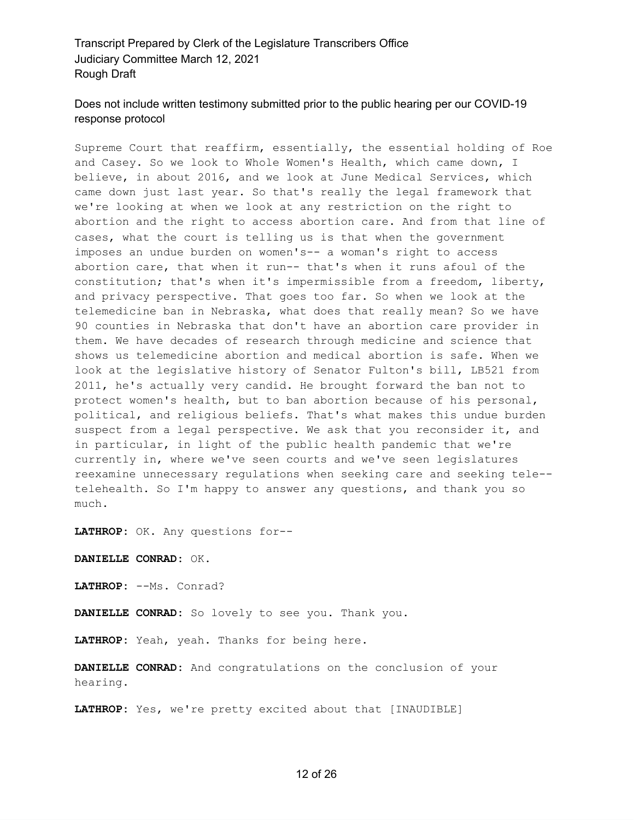# Does not include written testimony submitted prior to the public hearing per our COVID-19 response protocol

Supreme Court that reaffirm, essentially, the essential holding of Roe and Casey. So we look to Whole Women's Health, which came down, I believe, in about 2016, and we look at June Medical Services, which came down just last year. So that's really the legal framework that we're looking at when we look at any restriction on the right to abortion and the right to access abortion care. And from that line of cases, what the court is telling us is that when the government imposes an undue burden on women's-- a woman's right to access abortion care, that when it run-- that's when it runs afoul of the constitution; that's when it's impermissible from a freedom, liberty, and privacy perspective. That goes too far. So when we look at the telemedicine ban in Nebraska, what does that really mean? So we have 90 counties in Nebraska that don't have an abortion care provider in them. We have decades of research through medicine and science that shows us telemedicine abortion and medical abortion is safe. When we look at the legislative history of Senator Fulton's bill, LB521 from 2011, he's actually very candid. He brought forward the ban not to protect women's health, but to ban abortion because of his personal, political, and religious beliefs. That's what makes this undue burden suspect from a legal perspective. We ask that you reconsider it, and in particular, in light of the public health pandemic that we're currently in, where we've seen courts and we've seen legislatures reexamine unnecessary regulations when seeking care and seeking tele- telehealth. So I'm happy to answer any questions, and thank you so much.

**LATHROP:** OK. Any questions for--

**DANIELLE CONRAD:** OK.

**LATHROP:** --Ms. Conrad?

**DANIELLE CONRAD:** So lovely to see you. Thank you.

**LATHROP:** Yeah, yeah. Thanks for being here.

**DANIELLE CONRAD:** And congratulations on the conclusion of your hearing.

**LATHROP:** Yes, we're pretty excited about that [INAUDIBLE]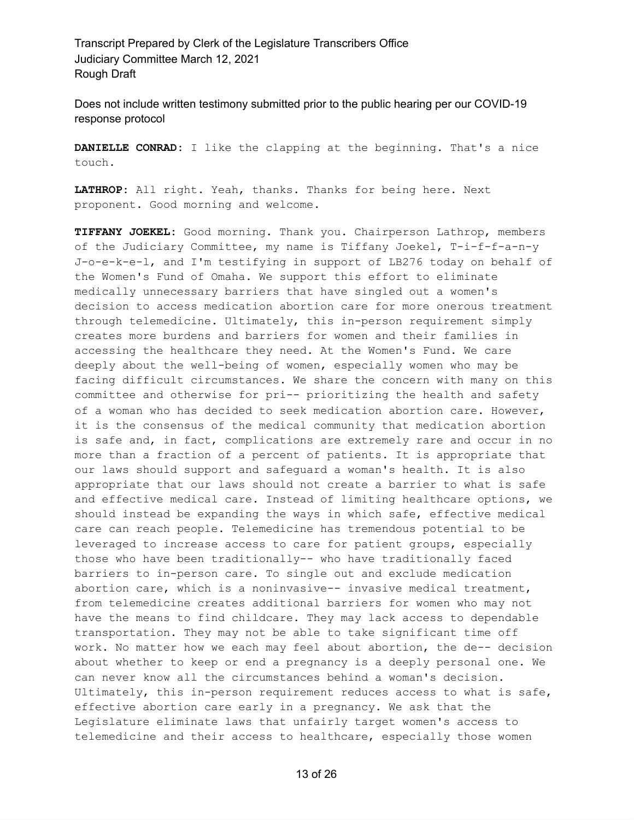Does not include written testimony submitted prior to the public hearing per our COVID-19 response protocol

**DANIELLE CONRAD:** I like the clapping at the beginning. That's a nice touch.

**LATHROP:** All right. Yeah, thanks. Thanks for being here. Next proponent. Good morning and welcome.

**TIFFANY JOEKEL:** Good morning. Thank you. Chairperson Lathrop, members of the Judiciary Committee, my name is Tiffany Joekel, T-i-f-f-a-n-y J-o-e-k-e-l, and I'm testifying in support of LB276 today on behalf of the Women's Fund of Omaha. We support this effort to eliminate medically unnecessary barriers that have singled out a women's decision to access medication abortion care for more onerous treatment through telemedicine. Ultimately, this in-person requirement simply creates more burdens and barriers for women and their families in accessing the healthcare they need. At the Women's Fund. We care deeply about the well-being of women, especially women who may be facing difficult circumstances. We share the concern with many on this committee and otherwise for pri-- prioritizing the health and safety of a woman who has decided to seek medication abortion care. However, it is the consensus of the medical community that medication abortion is safe and, in fact, complications are extremely rare and occur in no more than a fraction of a percent of patients. It is appropriate that our laws should support and safeguard a woman's health. It is also appropriate that our laws should not create a barrier to what is safe and effective medical care. Instead of limiting healthcare options, we should instead be expanding the ways in which safe, effective medical care can reach people. Telemedicine has tremendous potential to be leveraged to increase access to care for patient groups, especially those who have been traditionally-- who have traditionally faced barriers to in-person care. To single out and exclude medication abortion care, which is a noninvasive-- invasive medical treatment, from telemedicine creates additional barriers for women who may not have the means to find childcare. They may lack access to dependable transportation. They may not be able to take significant time off work. No matter how we each may feel about abortion, the de-- decision about whether to keep or end a pregnancy is a deeply personal one. We can never know all the circumstances behind a woman's decision. Ultimately, this in-person requirement reduces access to what is safe, effective abortion care early in a pregnancy. We ask that the Legislature eliminate laws that unfairly target women's access to telemedicine and their access to healthcare, especially those women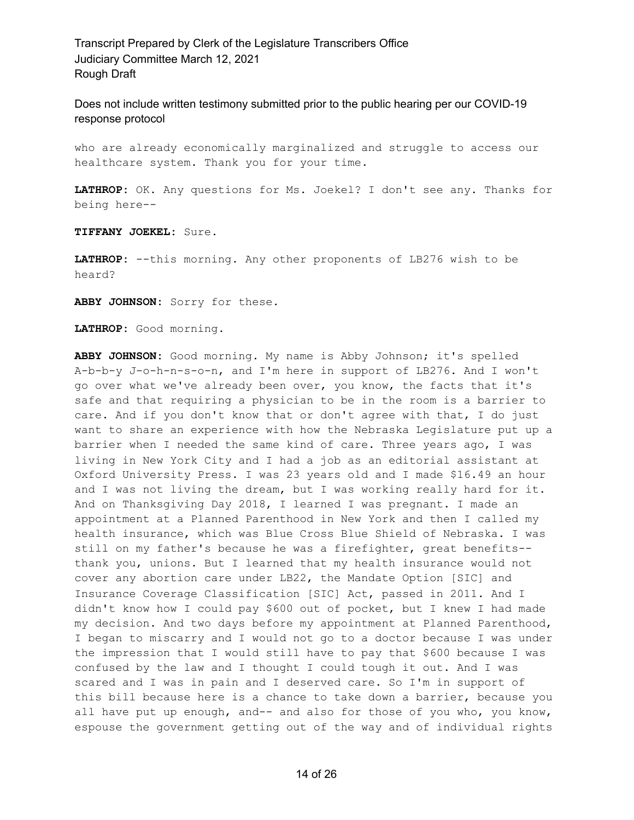Does not include written testimony submitted prior to the public hearing per our COVID-19 response protocol

who are already economically marginalized and struggle to access our healthcare system. Thank you for your time.

**LATHROP:** OK. Any questions for Ms. Joekel? I don't see any. Thanks for being here--

**TIFFANY JOEKEL:** Sure.

**LATHROP:** --this morning. Any other proponents of LB276 wish to be heard?

**ABBY JOHNSON:** Sorry for these.

**LATHROP:** Good morning.

**ABBY JOHNSON:** Good morning. My name is Abby Johnson; it's spelled A-b-b-y J-o-h-n-s-o-n, and I'm here in support of LB276. And I won't go over what we've already been over, you know, the facts that it's safe and that requiring a physician to be in the room is a barrier to care. And if you don't know that or don't agree with that, I do just want to share an experience with how the Nebraska Legislature put up a barrier when I needed the same kind of care. Three years ago, I was living in New York City and I had a job as an editorial assistant at Oxford University Press. I was 23 years old and I made \$16.49 an hour and I was not living the dream, but I was working really hard for it. And on Thanksgiving Day 2018, I learned I was pregnant. I made an appointment at a Planned Parenthood in New York and then I called my health insurance, which was Blue Cross Blue Shield of Nebraska. I was still on my father's because he was a firefighter, great benefits- thank you, unions. But I learned that my health insurance would not cover any abortion care under LB22, the Mandate Option [SIC] and Insurance Coverage Classification [SIC] Act, passed in 2011. And I didn't know how I could pay \$600 out of pocket, but I knew I had made my decision. And two days before my appointment at Planned Parenthood, I began to miscarry and I would not go to a doctor because I was under the impression that I would still have to pay that \$600 because I was confused by the law and I thought I could tough it out. And I was scared and I was in pain and I deserved care. So I'm in support of this bill because here is a chance to take down a barrier, because you all have put up enough, and-- and also for those of you who, you know, espouse the government getting out of the way and of individual rights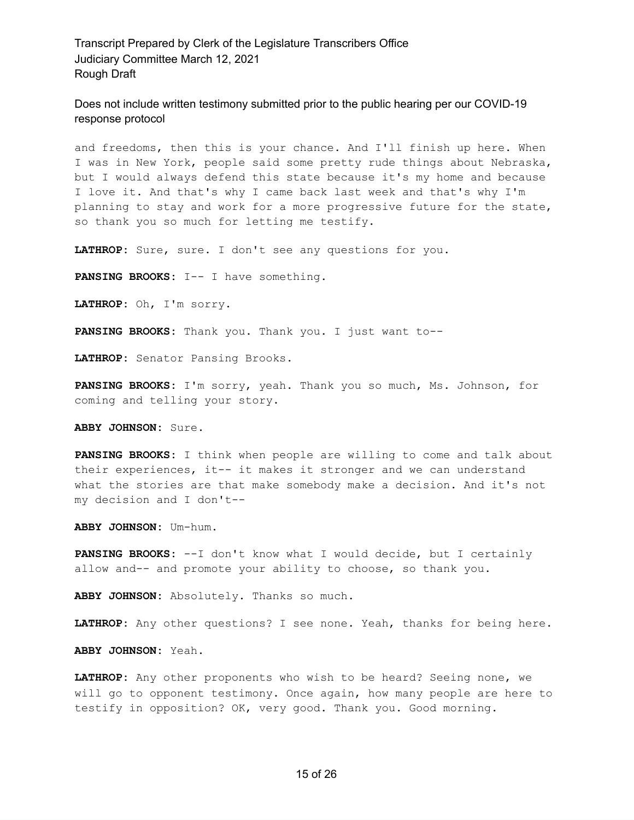Does not include written testimony submitted prior to the public hearing per our COVID-19 response protocol

and freedoms, then this is your chance. And I'll finish up here. When I was in New York, people said some pretty rude things about Nebraska, but I would always defend this state because it's my home and because I love it. And that's why I came back last week and that's why I'm planning to stay and work for a more progressive future for the state, so thank you so much for letting me testify.

**LATHROP:** Sure, sure. I don't see any questions for you.

**PANSING BROOKS:** I-- I have something.

**LATHROP:** Oh, I'm sorry.

**PANSING BROOKS:** Thank you. Thank you. I just want to--

**LATHROP:** Senator Pansing Brooks.

**PANSING BROOKS:** I'm sorry, yeah. Thank you so much, Ms. Johnson, for coming and telling your story.

**ABBY JOHNSON:** Sure.

**PANSING BROOKS:** I think when people are willing to come and talk about their experiences, it-- it makes it stronger and we can understand what the stories are that make somebody make a decision. And it's not my decision and I don't--

**ABBY JOHNSON:** Um-hum.

**PANSING BROOKS:** --I don't know what I would decide, but I certainly allow and-- and promote your ability to choose, so thank you.

**ABBY JOHNSON:** Absolutely. Thanks so much.

**LATHROP:** Any other questions? I see none. Yeah, thanks for being here.

**ABBY JOHNSON:** Yeah.

**LATHROP:** Any other proponents who wish to be heard? Seeing none, we will go to opponent testimony. Once again, how many people are here to testify in opposition? OK, very good. Thank you. Good morning.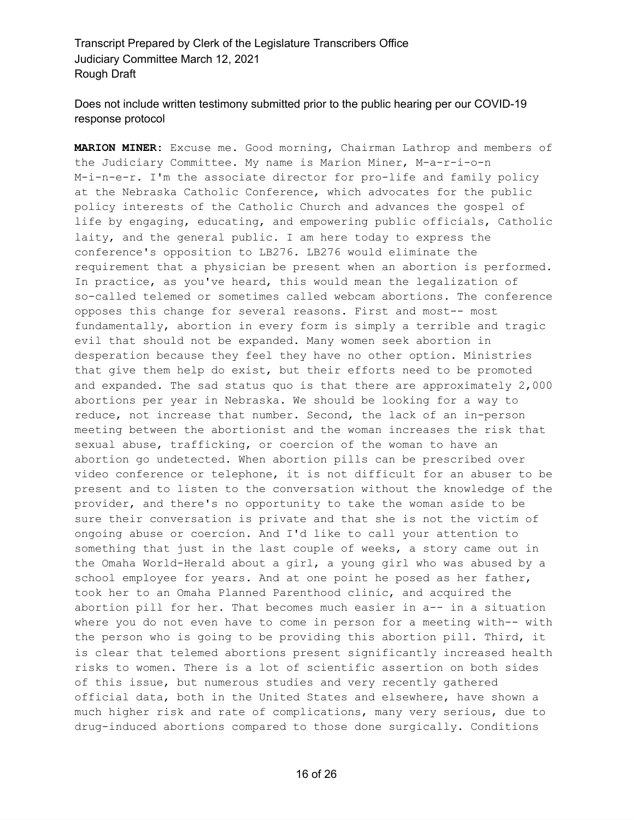# Does not include written testimony submitted prior to the public hearing per our COVID-19 response protocol

**MARION MINER:** Excuse me. Good morning, Chairman Lathrop and members of the Judiciary Committee. My name is Marion Miner, M-a-r-i-o-n M-i-n-e-r. I'm the associate director for pro-life and family policy at the Nebraska Catholic Conference, which advocates for the public policy interests of the Catholic Church and advances the gospel of life by engaging, educating, and empowering public officials, Catholic laity, and the general public. I am here today to express the conference's opposition to LB276. LB276 would eliminate the requirement that a physician be present when an abortion is performed. In practice, as you've heard, this would mean the legalization of so-called telemed or sometimes called webcam abortions. The conference opposes this change for several reasons. First and most-- most fundamentally, abortion in every form is simply a terrible and tragic evil that should not be expanded. Many women seek abortion in desperation because they feel they have no other option. Ministries that give them help do exist, but their efforts need to be promoted and expanded. The sad status quo is that there are approximately 2,000 abortions per year in Nebraska. We should be looking for a way to reduce, not increase that number. Second, the lack of an in-person meeting between the abortionist and the woman increases the risk that sexual abuse, trafficking, or coercion of the woman to have an abortion go undetected. When abortion pills can be prescribed over video conference or telephone, it is not difficult for an abuser to be present and to listen to the conversation without the knowledge of the provider, and there's no opportunity to take the woman aside to be sure their conversation is private and that she is not the victim of ongoing abuse or coercion. And I'd like to call your attention to something that just in the last couple of weeks, a story came out in the Omaha World-Herald about a girl, a young girl who was abused by a school employee for years. And at one point he posed as her father, took her to an Omaha Planned Parenthood clinic, and acquired the abortion pill for her. That becomes much easier in a-- in a situation where you do not even have to come in person for a meeting with-- with the person who is going to be providing this abortion pill. Third, it is clear that telemed abortions present significantly increased health risks to women. There is a lot of scientific assertion on both sides of this issue, but numerous studies and very recently gathered official data, both in the United States and elsewhere, have shown a much higher risk and rate of complications, many very serious, due to drug-induced abortions compared to those done surgically. Conditions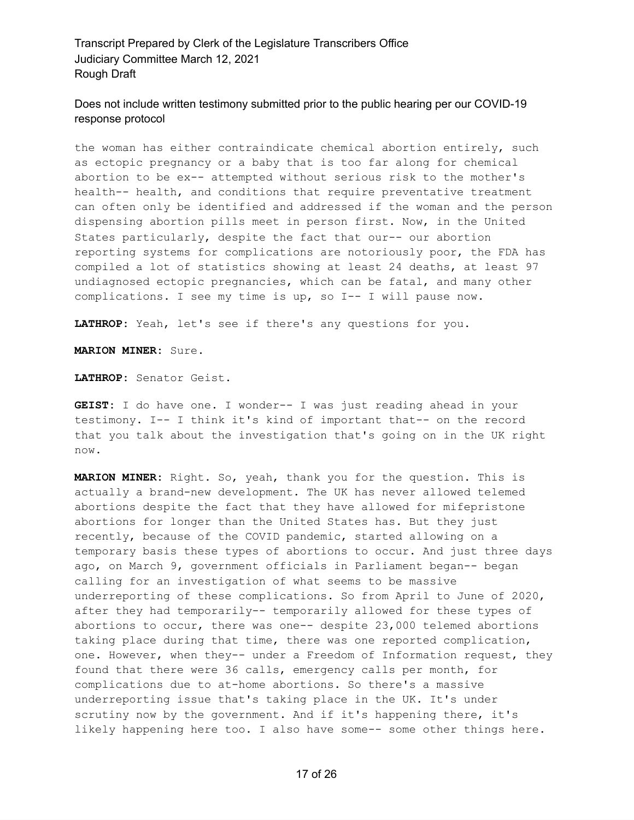Does not include written testimony submitted prior to the public hearing per our COVID-19 response protocol

the woman has either contraindicate chemical abortion entirely, such as ectopic pregnancy or a baby that is too far along for chemical abortion to be ex-- attempted without serious risk to the mother's health-- health, and conditions that require preventative treatment can often only be identified and addressed if the woman and the person dispensing abortion pills meet in person first. Now, in the United States particularly, despite the fact that our-- our abortion reporting systems for complications are notoriously poor, the FDA has compiled a lot of statistics showing at least 24 deaths, at least 97 undiagnosed ectopic pregnancies, which can be fatal, and many other complications. I see my time is up, so I-- I will pause now.

**LATHROP:** Yeah, let's see if there's any questions for you.

**MARION MINER:** Sure.

**LATHROP:** Senator Geist.

**GEIST:** I do have one. I wonder-- I was just reading ahead in your testimony. I-- I think it's kind of important that-- on the record that you talk about the investigation that's going on in the UK right now.

**MARION MINER:** Right. So, yeah, thank you for the question. This is actually a brand-new development. The UK has never allowed telemed abortions despite the fact that they have allowed for mifepristone abortions for longer than the United States has. But they just recently, because of the COVID pandemic, started allowing on a temporary basis these types of abortions to occur. And just three days ago, on March 9, government officials in Parliament began-- began calling for an investigation of what seems to be massive underreporting of these complications. So from April to June of 2020, after they had temporarily-- temporarily allowed for these types of abortions to occur, there was one-- despite 23,000 telemed abortions taking place during that time, there was one reported complication, one. However, when they-- under a Freedom of Information request, they found that there were 36 calls, emergency calls per month, for complications due to at-home abortions. So there's a massive underreporting issue that's taking place in the UK. It's under scrutiny now by the government. And if it's happening there, it's likely happening here too. I also have some-- some other things here.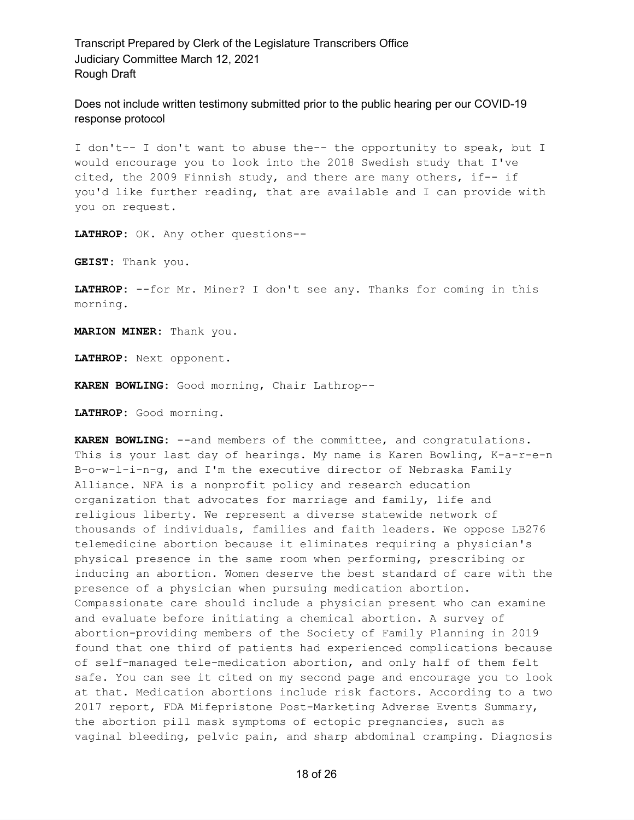Does not include written testimony submitted prior to the public hearing per our COVID-19 response protocol

I don't-- I don't want to abuse the-- the opportunity to speak, but I would encourage you to look into the 2018 Swedish study that I've cited, the 2009 Finnish study, and there are many others, if-- if you'd like further reading, that are available and I can provide with you on request.

**LATHROP:** OK. Any other questions--

**GEIST:** Thank you.

**LATHROP:** --for Mr. Miner? I don't see any. Thanks for coming in this morning.

**MARION MINER:** Thank you.

**LATHROP:** Next opponent.

**KAREN BOWLING:** Good morning, Chair Lathrop--

**LATHROP:** Good morning.

**KAREN BOWLING:** --and members of the committee, and congratulations. This is your last day of hearings. My name is Karen Bowling, K-a-r-e-n B-o-w-l-i-n-g, and I'm the executive director of Nebraska Family Alliance. NFA is a nonprofit policy and research education organization that advocates for marriage and family, life and religious liberty. We represent a diverse statewide network of thousands of individuals, families and faith leaders. We oppose LB276 telemedicine abortion because it eliminates requiring a physician's physical presence in the same room when performing, prescribing or inducing an abortion. Women deserve the best standard of care with the presence of a physician when pursuing medication abortion. Compassionate care should include a physician present who can examine and evaluate before initiating a chemical abortion. A survey of abortion-providing members of the Society of Family Planning in 2019 found that one third of patients had experienced complications because of self-managed tele-medication abortion, and only half of them felt safe. You can see it cited on my second page and encourage you to look at that. Medication abortions include risk factors. According to a two 2017 report, FDA Mifepristone Post-Marketing Adverse Events Summary, the abortion pill mask symptoms of ectopic pregnancies, such as vaginal bleeding, pelvic pain, and sharp abdominal cramping. Diagnosis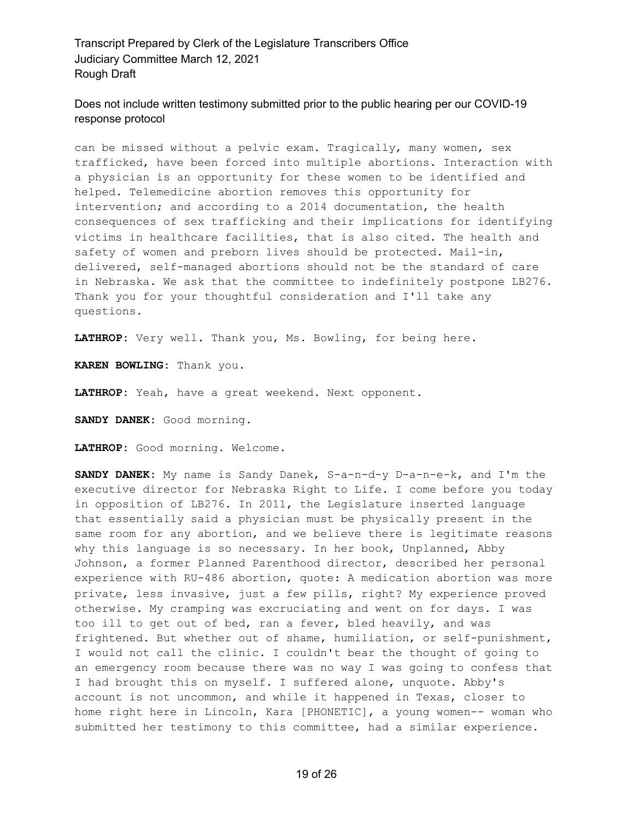Does not include written testimony submitted prior to the public hearing per our COVID-19 response protocol

can be missed without a pelvic exam. Tragically, many women, sex trafficked, have been forced into multiple abortions. Interaction with a physician is an opportunity for these women to be identified and helped. Telemedicine abortion removes this opportunity for intervention; and according to a 2014 documentation, the health consequences of sex trafficking and their implications for identifying victims in healthcare facilities, that is also cited. The health and safety of women and preborn lives should be protected. Mail-in, delivered, self-managed abortions should not be the standard of care in Nebraska. We ask that the committee to indefinitely postpone LB276. Thank you for your thoughtful consideration and I'll take any questions.

**LATHROP:** Very well. Thank you, Ms. Bowling, for being here.

**KAREN BOWLING:** Thank you.

**LATHROP:** Yeah, have a great weekend. Next opponent.

**SANDY DANEK:** Good morning.

**LATHROP:** Good morning. Welcome.

**SANDY DANEK:** My name is Sandy Danek, S-a-n-d-y D-a-n-e-k, and I'm the executive director for Nebraska Right to Life. I come before you today in opposition of LB276. In 2011, the Legislature inserted language that essentially said a physician must be physically present in the same room for any abortion, and we believe there is legitimate reasons why this language is so necessary. In her book, Unplanned, Abby Johnson, a former Planned Parenthood director, described her personal experience with RU-486 abortion, quote: A medication abortion was more private, less invasive, just a few pills, right? My experience proved otherwise. My cramping was excruciating and went on for days. I was too ill to get out of bed, ran a fever, bled heavily, and was frightened. But whether out of shame, humiliation, or self-punishment, I would not call the clinic. I couldn't bear the thought of going to an emergency room because there was no way I was going to confess that I had brought this on myself. I suffered alone, unquote. Abby's account is not uncommon, and while it happened in Texas, closer to home right here in Lincoln, Kara [PHONETIC], a young women-- woman who submitted her testimony to this committee, had a similar experience.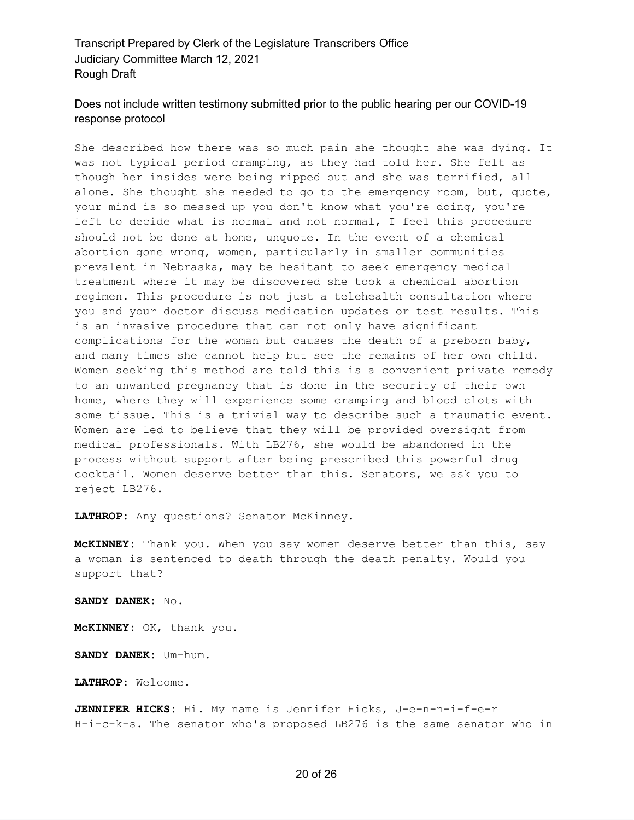# Does not include written testimony submitted prior to the public hearing per our COVID-19 response protocol

She described how there was so much pain she thought she was dying. It was not typical period cramping, as they had told her. She felt as though her insides were being ripped out and she was terrified, all alone. She thought she needed to go to the emergency room, but, quote, your mind is so messed up you don't know what you're doing, you're left to decide what is normal and not normal, I feel this procedure should not be done at home, unquote. In the event of a chemical abortion gone wrong, women, particularly in smaller communities prevalent in Nebraska, may be hesitant to seek emergency medical treatment where it may be discovered she took a chemical abortion regimen. This procedure is not just a telehealth consultation where you and your doctor discuss medication updates or test results. This is an invasive procedure that can not only have significant complications for the woman but causes the death of a preborn baby, and many times she cannot help but see the remains of her own child. Women seeking this method are told this is a convenient private remedy to an unwanted pregnancy that is done in the security of their own home, where they will experience some cramping and blood clots with some tissue. This is a trivial way to describe such a traumatic event. Women are led to believe that they will be provided oversight from medical professionals. With LB276, she would be abandoned in the process without support after being prescribed this powerful drug cocktail. Women deserve better than this. Senators, we ask you to reject LB276.

**LATHROP:** Any questions? Senator McKinney.

**McKINNEY:** Thank you. When you say women deserve better than this, say a woman is sentenced to death through the death penalty. Would you support that?

**SANDY DANEK:** No.

**McKINNEY:** OK, thank you.

**SANDY DANEK:** Um-hum.

**LATHROP:** Welcome.

**JENNIFER HICKS:** Hi. My name is Jennifer Hicks, J-e-n-n-i-f-e-r H-i-c-k-s. The senator who's proposed LB276 is the same senator who in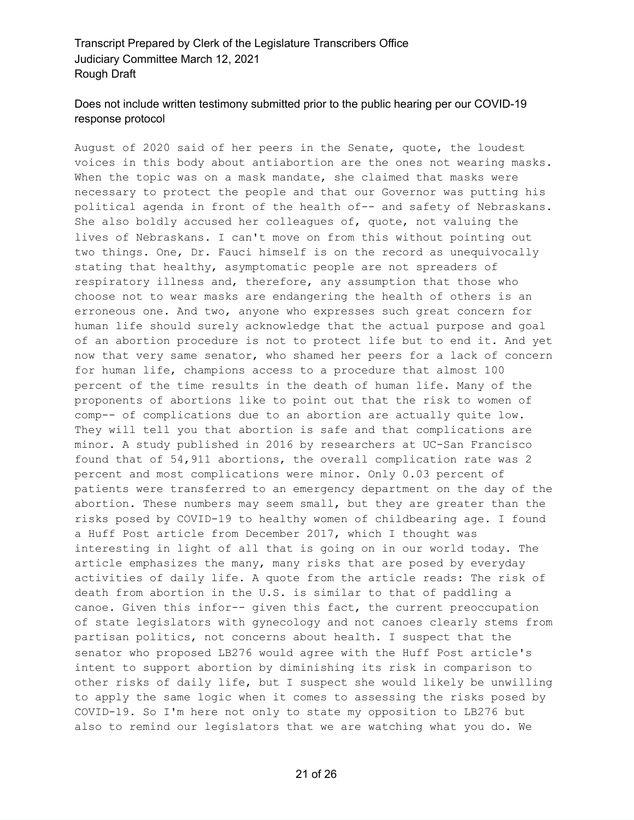### Does not include written testimony submitted prior to the public hearing per our COVID-19 response protocol

August of 2020 said of her peers in the Senate, quote, the loudest voices in this body about antiabortion are the ones not wearing masks. When the topic was on a mask mandate, she claimed that masks were necessary to protect the people and that our Governor was putting his political agenda in front of the health of-- and safety of Nebraskans. She also boldly accused her colleagues of, quote, not valuing the lives of Nebraskans. I can't move on from this without pointing out two things. One, Dr. Fauci himself is on the record as unequivocally stating that healthy, asymptomatic people are not spreaders of respiratory illness and, therefore, any assumption that those who choose not to wear masks are endangering the health of others is an erroneous one. And two, anyone who expresses such great concern for human life should surely acknowledge that the actual purpose and goal of an abortion procedure is not to protect life but to end it. And yet now that very same senator, who shamed her peers for a lack of concern for human life, champions access to a procedure that almost 100 percent of the time results in the death of human life. Many of the proponents of abortions like to point out that the risk to women of comp-- of complications due to an abortion are actually quite low. They will tell you that abortion is safe and that complications are minor. A study published in 2016 by researchers at UC-San Francisco found that of 54,911 abortions, the overall complication rate was 2 percent and most complications were minor. Only 0.03 percent of patients were transferred to an emergency department on the day of the abortion. These numbers may seem small, but they are greater than the risks posed by COVID-19 to healthy women of childbearing age. I found a Huff Post article from December 2017, which I thought was interesting in light of all that is going on in our world today. The article emphasizes the many, many risks that are posed by everyday activities of daily life. A quote from the article reads: The risk of death from abortion in the U.S. is similar to that of paddling a canoe. Given this infor-- given this fact, the current preoccupation of state legislators with gynecology and not canoes clearly stems from partisan politics, not concerns about health. I suspect that the senator who proposed LB276 would agree with the Huff Post article's intent to support abortion by diminishing its risk in comparison to other risks of daily life, but I suspect she would likely be unwilling to apply the same logic when it comes to assessing the risks posed by COVID-19. So I'm here not only to state my opposition to LB276 but also to remind our legislators that we are watching what you do. We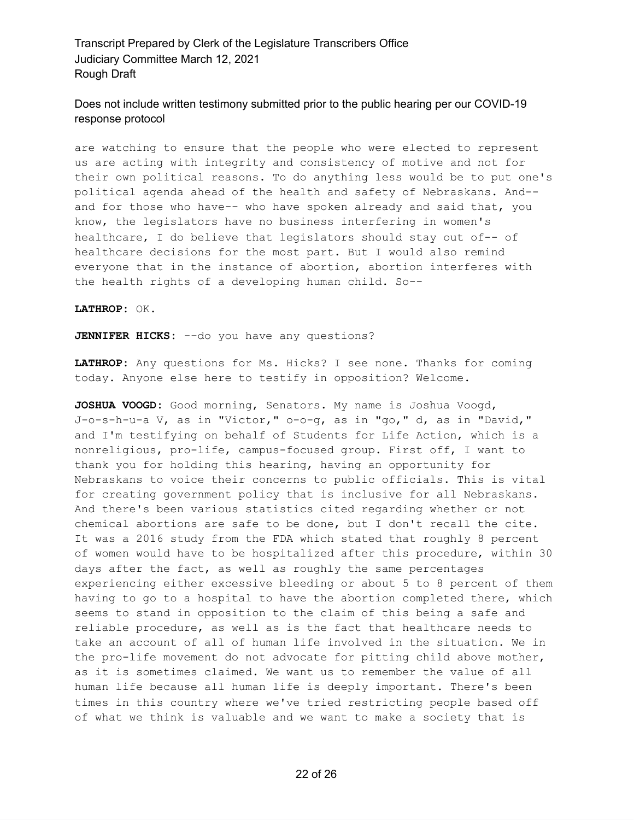# Does not include written testimony submitted prior to the public hearing per our COVID-19 response protocol

are watching to ensure that the people who were elected to represent us are acting with integrity and consistency of motive and not for their own political reasons. To do anything less would be to put one's political agenda ahead of the health and safety of Nebraskans. And- and for those who have-- who have spoken already and said that, you know, the legislators have no business interfering in women's healthcare, I do believe that legislators should stay out of-- of healthcare decisions for the most part. But I would also remind everyone that in the instance of abortion, abortion interferes with the health rights of a developing human child. So--

#### **LATHROP:** OK.

**JENNIFER HICKS:** --do you have any questions?

**LATHROP:** Any questions for Ms. Hicks? I see none. Thanks for coming today. Anyone else here to testify in opposition? Welcome.

**JOSHUA VOOGD:** Good morning, Senators. My name is Joshua Voogd, J-o-s-h-u-a V, as in "Victor," o-o-g, as in "go," d, as in "David," and I'm testifying on behalf of Students for Life Action, which is a nonreligious, pro-life, campus-focused group. First off, I want to thank you for holding this hearing, having an opportunity for Nebraskans to voice their concerns to public officials. This is vital for creating government policy that is inclusive for all Nebraskans. And there's been various statistics cited regarding whether or not chemical abortions are safe to be done, but I don't recall the cite. It was a 2016 study from the FDA which stated that roughly 8 percent of women would have to be hospitalized after this procedure, within 30 days after the fact, as well as roughly the same percentages experiencing either excessive bleeding or about 5 to 8 percent of them having to go to a hospital to have the abortion completed there, which seems to stand in opposition to the claim of this being a safe and reliable procedure, as well as is the fact that healthcare needs to take an account of all of human life involved in the situation. We in the pro-life movement do not advocate for pitting child above mother, as it is sometimes claimed. We want us to remember the value of all human life because all human life is deeply important. There's been times in this country where we've tried restricting people based off of what we think is valuable and we want to make a society that is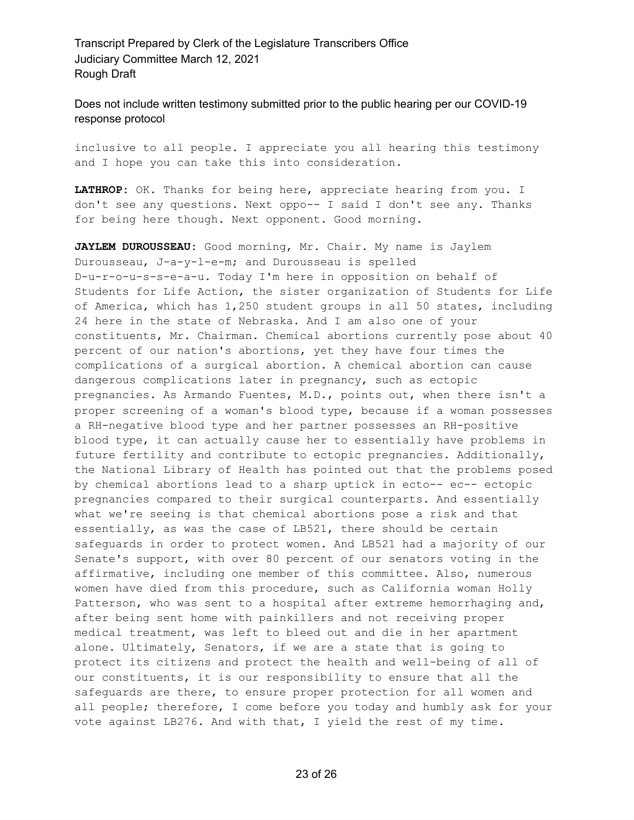Does not include written testimony submitted prior to the public hearing per our COVID-19 response protocol

inclusive to all people. I appreciate you all hearing this testimony and I hope you can take this into consideration.

**LATHROP:** OK. Thanks for being here, appreciate hearing from you. I don't see any questions. Next oppo-- I said I don't see any. Thanks for being here though. Next opponent. Good morning.

**JAYLEM DUROUSSEAU:** Good morning, Mr. Chair. My name is Jaylem Durousseau, J-a-y-l-e-m; and Durousseau is spelled D-u-r-o-u-s-s-e-a-u. Today I'm here in opposition on behalf of Students for Life Action, the sister organization of Students for Life of America, which has 1,250 student groups in all 50 states, including 24 here in the state of Nebraska. And I am also one of your constituents, Mr. Chairman. Chemical abortions currently pose about 40 percent of our nation's abortions, yet they have four times the complications of a surgical abortion. A chemical abortion can cause dangerous complications later in pregnancy, such as ectopic pregnancies. As Armando Fuentes, M.D., points out, when there isn't a proper screening of a woman's blood type, because if a woman possesses a RH-negative blood type and her partner possesses an RH-positive blood type, it can actually cause her to essentially have problems in future fertility and contribute to ectopic pregnancies. Additionally, the National Library of Health has pointed out that the problems posed by chemical abortions lead to a sharp uptick in ecto-- ec-- ectopic pregnancies compared to their surgical counterparts. And essentially what we're seeing is that chemical abortions pose a risk and that essentially, as was the case of LB521, there should be certain safeguards in order to protect women. And LB521 had a majority of our Senate's support, with over 80 percent of our senators voting in the affirmative, including one member of this committee. Also, numerous women have died from this procedure, such as California woman Holly Patterson, who was sent to a hospital after extreme hemorrhaging and, after being sent home with painkillers and not receiving proper medical treatment, was left to bleed out and die in her apartment alone. Ultimately, Senators, if we are a state that is going to protect its citizens and protect the health and well-being of all of our constituents, it is our responsibility to ensure that all the safeguards are there, to ensure proper protection for all women and all people; therefore, I come before you today and humbly ask for your vote against LB276. And with that, I yield the rest of my time.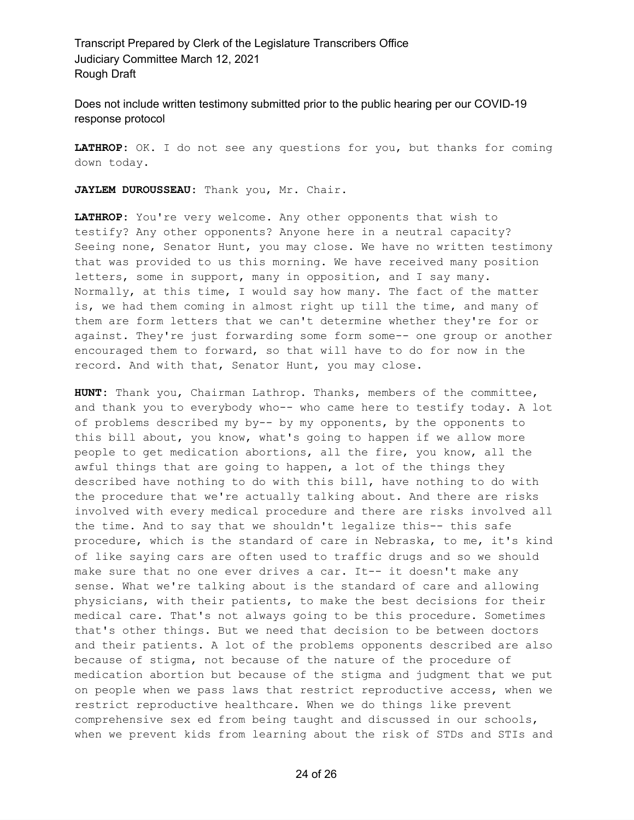Does not include written testimony submitted prior to the public hearing per our COVID-19 response protocol

**LATHROP:** OK. I do not see any questions for you, but thanks for coming down today.

**JAYLEM DUROUSSEAU:** Thank you, Mr. Chair.

**LATHROP:** You're very welcome. Any other opponents that wish to testify? Any other opponents? Anyone here in a neutral capacity? Seeing none, Senator Hunt, you may close. We have no written testimony that was provided to us this morning. We have received many position letters, some in support, many in opposition, and I say many. Normally, at this time, I would say how many. The fact of the matter is, we had them coming in almost right up till the time, and many of them are form letters that we can't determine whether they're for or against. They're just forwarding some form some-- one group or another encouraged them to forward, so that will have to do for now in the record. And with that, Senator Hunt, you may close.

**HUNT:** Thank you, Chairman Lathrop. Thanks, members of the committee, and thank you to everybody who-- who came here to testify today. A lot of problems described my by-- by my opponents, by the opponents to this bill about, you know, what's going to happen if we allow more people to get medication abortions, all the fire, you know, all the awful things that are going to happen, a lot of the things they described have nothing to do with this bill, have nothing to do with the procedure that we're actually talking about. And there are risks involved with every medical procedure and there are risks involved all the time. And to say that we shouldn't legalize this-- this safe procedure, which is the standard of care in Nebraska, to me, it's kind of like saying cars are often used to traffic drugs and so we should make sure that no one ever drives a car. It-- it doesn't make any sense. What we're talking about is the standard of care and allowing physicians, with their patients, to make the best decisions for their medical care. That's not always going to be this procedure. Sometimes that's other things. But we need that decision to be between doctors and their patients. A lot of the problems opponents described are also because of stigma, not because of the nature of the procedure of medication abortion but because of the stigma and judgment that we put on people when we pass laws that restrict reproductive access, when we restrict reproductive healthcare. When we do things like prevent comprehensive sex ed from being taught and discussed in our schools, when we prevent kids from learning about the risk of STDs and STIs and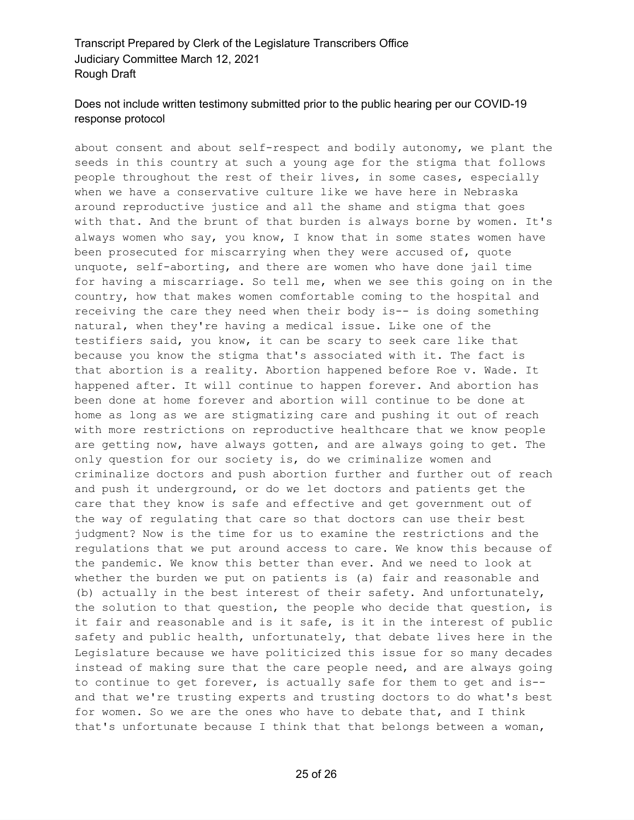# Does not include written testimony submitted prior to the public hearing per our COVID-19 response protocol

about consent and about self-respect and bodily autonomy, we plant the seeds in this country at such a young age for the stigma that follows people throughout the rest of their lives, in some cases, especially when we have a conservative culture like we have here in Nebraska around reproductive justice and all the shame and stigma that goes with that. And the brunt of that burden is always borne by women. It's always women who say, you know, I know that in some states women have been prosecuted for miscarrying when they were accused of, quote unquote, self-aborting, and there are women who have done jail time for having a miscarriage. So tell me, when we see this going on in the country, how that makes women comfortable coming to the hospital and receiving the care they need when their body is-- is doing something natural, when they're having a medical issue. Like one of the testifiers said, you know, it can be scary to seek care like that because you know the stigma that's associated with it. The fact is that abortion is a reality. Abortion happened before Roe v. Wade. It happened after. It will continue to happen forever. And abortion has been done at home forever and abortion will continue to be done at home as long as we are stigmatizing care and pushing it out of reach with more restrictions on reproductive healthcare that we know people are getting now, have always gotten, and are always going to get. The only question for our society is, do we criminalize women and criminalize doctors and push abortion further and further out of reach and push it underground, or do we let doctors and patients get the care that they know is safe and effective and get government out of the way of regulating that care so that doctors can use their best judgment? Now is the time for us to examine the restrictions and the regulations that we put around access to care. We know this because of the pandemic. We know this better than ever. And we need to look at whether the burden we put on patients is (a) fair and reasonable and (b) actually in the best interest of their safety. And unfortunately, the solution to that question, the people who decide that question, is it fair and reasonable and is it safe, is it in the interest of public safety and public health, unfortunately, that debate lives here in the Legislature because we have politicized this issue for so many decades instead of making sure that the care people need, and are always going to continue to get forever, is actually safe for them to get and is- and that we're trusting experts and trusting doctors to do what's best for women. So we are the ones who have to debate that, and I think that's unfortunate because I think that that belongs between a woman,